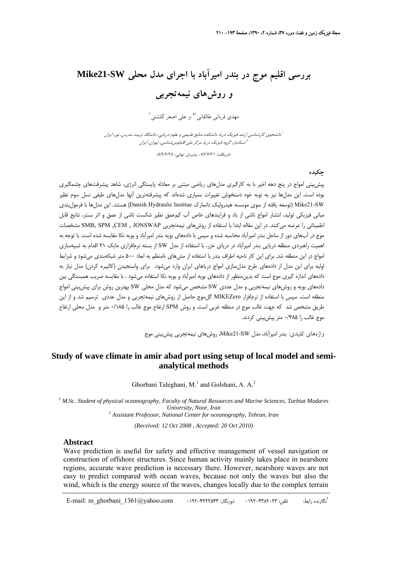# **بررسي اقليم موج در بندر اميرآباد با اجراي مدل محلي SW21-Mike و روشهاي نيمهتجربي**

.<br>مهدي قرباني طالقاني <sup>(\*</sup> و علي اصغر گلشني <sup>1</sup>

دانشجوي كارشناسي ارشد فيزيك دريا، دانشكده منابع طبيعي <sup>و</sup> علوم دريايي، دانشگاه تربيت مدرس، نور، ايران <sup>1</sup> استاديار، گروه فيزيك دريا، مركز ملي اقيانوسشناسي، تهران، ايران <sup>2</sup>

(دريافت: 87/7/21 ، پذيرش نهايي: 89/7/28)

#### **چكيده**

پيشبيني امواج در پنج دهه اخير با به كارگيري مدل هاي رياضي مبتني بر معادله پايستگي انرژي، شاهد پيشرفتهاي چشمگيري بوده است. اين مدلها نيز به نوبه خود دستخوش تغييرات بسياري شدهاند كه پيشرفتهترين آنها مدلهاي طيفي نسل سوم نظير SW21-Mike) توسعه يافته از سوي موسسه هيدروليك دانمارك Institue Hydraulic Danish (هستند. اين مدلها با فرمولبندي مباني فيزيكي توليد، انتشار امواج ناشي از باد و فرايندهاي خاص آب كمعمق نظير شكست ناشي از عمق و اثر بستر، نتايج قابل اطميناني را عرضه ميكنند. در اين مقاله ابتدا با استفاده از روشهاي نيمهتجربي JONSWAP , CEM, SPM ,SMB مشخصات موج در آبهاي دور از ساحل بندر اميرآباد محاسبه شده و سپس با دادههاي بويه بندر اميرآباد و بويه نكا مقايسه شده است. با توجه به اهميت راهبردي منطقه دريايي بندر اميرآباد در درياي خزر، با استفاده از مدل SW از بسته نرمافزاري مايك 21 اقدام به شبيهسازي امواج در اين منطقه شد. براي اين كار ناحيه اطراف بندر با استفاده از مشهاي نامنظم به ابعاد 500 متر شبكهبندي ميشود و شرايط اوليه براي اين مدل از دادههاي طرح مدلسازي امواج درياهاي ايران وارد مي شود. براي واسنجيدن (كاليبره كردن) مدل نياز به دادههاي اندازه گيري موج است كه بدينمنظور از دادههاي بويه اميرآباد و بويه نكا استفاده ميشود . با مقايسه ضريب همبستگي بين دادههاي بويه و روشهاي نيمهتجربي و مدل عددي SW مشخص ميشود كه مدل محلي SW بهترين روش براي پيشبيني امواج منطقه است. سپس با استفاده از نرمافزار MIKEZero گلموج حاصل از روشهاي نيمهتجربي و مدل عددي ترسيم شد و از اين طريق مشخص شد كه جهت غالب موج در منطقه غربي است. و روش SPM ارتفاع موج غالب را 0/185 متر و مدل محلي ارتفاع موج غالب را 0/485 متر پيشبيني كردند.

واژههاي كليدي: بندر اميرآباد، مدل SW21-Mike، روشهاي نيمهتجربي پيشبيني موج

### **Study of wave climate in amir abad port using setup of local model and semianalytical methods**

Ghorbani Taleghani, M.<sup>1</sup> and Golshani, A. A.<sup>2</sup>

*<sup>1</sup> M.Sc. Student of physical oceanography, Faculty of Natural Resources and Marine Sciences, Tarbiat Modares University, Noor, Iran <sup>2</sup> Assistant Professor, National Center for oceanography, Tehran, Iran* 

*(Received: 12 Oct 2008 , Accepted: 20 Oct 2010)*

#### **Abstract**

Wave prediction is useful for safety and effective management of vessel navigation or construction of offshore structures. Since human activity mainly takes place in nearshore regions, accurate wave prediction is necessary there. However, nearshore waves are not easy to predict compared with ocean waves, because not only the waves but also the wind, which is the energy source of the waves, changes locally due to the complex terrain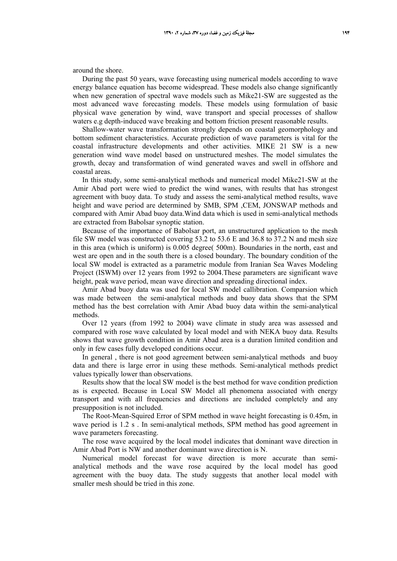around the shore.

During the past 50 years, wave forecasting using numerical models according to wave energy balance equation has become widespread. These models also change significantly when new generation of spectral wave models such as Mike21-SW are suggested as the most advanced wave forecasting models. These models using formulation of basic physical wave generation by wind, wave transport and special processes of shallow waters e.g depth-induced wave breaking and bottom friction present reasonable results.

Shallow-water wave transformation strongly depends on coastal geomorphology and bottom sediment characteristics. Accurate prediction of wave parameters is vital for the coastal infrastructure developments and other activities. MIKE 21 SW is a new generation wind wave model based on unstructured meshes. The model simulates the growth, decay and transformation of wind generated waves and swell in offshore and coastal areas.

In this study, some semi-analytical methods and numerical model Mike21-SW at the Amir Abad port were wied to predict the wind wanes, with results that has strongest agreement with buoy data. To study and assess the semi-analytical method results, wave height and wave period are determined by SMB, SPM, CEM, JONSWAP methods and compared with Amir Abad buoy data.Wind data which is used in semi-analytical methods are extracted from Babolsar synoptic station.

Because of the importance of Babolsar port, an unstructured application to the mesh file SW model was constructed covering 53.2 to 53.6 E and 36.8 to 37.2 N and mesh size in this area (which is uniform) is 0.005 degree( 500m). Boundaries in the north, east and west are open and in the south there is a closed boundary. The boundary condition of the local SW model is extracted as a parametric module from Iranian Sea Waves Modeling Project (ISWM) over 12 years from 1992 to 2004.These parameters are significant wave height, peak wave period, mean wave direction and spreading directional index.

Amir Abad buoy data was used for local SW model callibration. Comparsion which was made between the semi-analytical methods and buoy data shows that the SPM method has the best correlation with Amir Abad buoy data within the semi-analytical methods.

Over 12 years (from 1992 to 2004) wave climate in study area was assessed and compared with rose wave calculated by local model and with NEKA buoy data. Results shows that wave growth condition in Amir Abad area is a duration limited condition and only in few cases fully developed conditions occur.

In general , there is not good agreement between semi-analytical methods and buoy data and there is large error in using these methods. Semi-analytical methods predict values typically lower than observations.

Results show that the local SW model is the best method for wave condition prediction as is expected. Because in Local SW Model all phenomena associated with energy transport and with all frequencies and directions are included completely and any presupposition is not included.

The Root-Mean-Squired Error of SPM method in wave height forecasting is 0.45m, in wave period is 1.2 s . In semi-analytical methods, SPM method has good agreement in wave parameters forecasting.

The rose wave acquired by the local model indicates that dominant wave direction in Amir Abad Port is NW and another dominant wave direction is N.

Numerical model forecast for wave direction is more accurate than semianalytical methods and the wave rose acquired by the local model has good agreement with the buoy data. The study suggests that another local model with smaller mesh should be tried in this zone.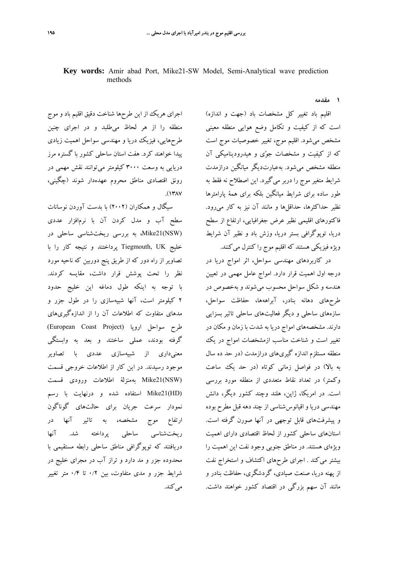**Key words:** Amir abad Port, Mike21-SW Model, Semi-Analytical wave prediction methods

**1 مقدمه** 

اقليم باد تغيير كل مشخصات باد (جهت و اندازه) است كه از كيفيت و تكامل وضع هوايي منطقه معيني مشخص ميشود. اقليم موج، تغيير خصوصيات موج است كه از كيفيت و مشخصات جوي و هيدروديناميكي آن منطقه مشخص ميشود. به عبارتديگر ميانگين درازمدت شرايط متغير موج را دربر ميگيرد. اين اصطلاح نه فقط به طور ساده براي شرايط ميانگين بلكه براي همة پارامترها نظير حداكثرها، حداقلها و مانند آن نيز به كار ميرود. فاكتورهاي اقليمي نظير عرض جغرافيايي، ارتفاع از سطح دريا، توپوگرافي بستر دريا، وزش باد و نظير آن شرايط ويژه فيزيكي هستند كه اقليم موج را كنترل مي كنند.

در كاربردهاي مهندسي سواحل، اثر امواج دريا در درجه اول اهميت قرار دارد. امواج عامل مهمي در تعيين هندسه و شكل سواحل محسوب ميشوند و بهخصوص در طرحهاي دهانه بنادر، آبراههها، حفاظت سواحل، سازههاي ساحلي و ديگر فعاليتهاي ساحلي تاثير بسزايي دارند. مشخصههاي امواج دريا به شدت با زمان و مكان در تغيير است و شناخت مناسب ازمشخصات امواج در يك منطقه مستلزم اندازه گيريهاي درازمدت (در حد ده سال به بالا) در فواصل زماني كوتاه (در حد يك ساعت وكمتر) در تعداد نقاط متعددي از منطقه مورد بررسي است. در امريكا، ژاپن، هلند وچند كشور ديگر، دانش مهندسي دريا و اقيانوسشناسي از چند دهه قبل مطرح بوده و پيشرفتهاي قابل توجهي در آنها صورن گرفته است. استانهاي ساحلي كشور از لحاظ اقتصادي داراي اهميت ويژهاي هستند. در مناطق جنوبي وجود نفت اين اهميت را بيشتر ميكند . اجراي طرحهاي اكتشاف و استخراج نفت از پهنه دريا، صنعت صيادي، گردشگري، حفاظت بنادر و مانند آن سهم بزرگي در اقتصاد كشور خواهند داشت.

اجراي هريك از اين طرحها شناخت دقيق اقليم باد و موج منطقه را از هر لحاظ ميطلبد و در اجراي چنين طرحهايي، فيزيك دريا و مهندسي سواحل اهميت زيادي پيدا خواهند كرد. هفت استان ساحلي كشور با گستره مرز دريايي به وسعت 3000 كيلومتر ميتوانند نقش مهمي در رونق اقتصادي مناطق محروم عهدهدار شوند (چگيني،  $.$ (1٣٨٧)

سيگال و همكاران (2002) با بدست آوردن نوسانات سطح آب و مدل كردن آن با نرمافزار عددي (NSW(21Mike، به بررسي ريختشناسي ساحلي در خليج UK ,Tiegmouth پرداختند و نتيجه كار را با تصاوير از راه دور كه از طريق پنج دوربين كه ناحيه مورد نظر را تحت پوشش قرار داشت، مقايسه كردند. با توجه به اينكه طول دماغه اين خليج حدود 2 كيلومتر است، آنها شبيهسازي را در طول جزر و مدهاي متفاوت كه اطلاعات آن را از اندازهگيريهاي طرح سواحل اروپا (Project Coast European ( گرفته بودند، عملي ساختند و بعد به وابستگي معنيداري از شبيهسازي عددي با تصاوير موجود رسيدند. در اين كار از اطلاعات خروجي قسمت (NSW(21Mike بهمنزلة اطلاعات ورودي قسمت (HD(21Mike استفاده شده و درنهايت با رسم نمودار سرعت جريان براي حالتهاي گوناگون ارتفاع موج مشخصه، به تاثير آنها در ريختشناسي ساحلي پرداخته شد. آنها دريافتند كه توپوگرافي مناطق ساحلي رابطه مستقيمي با محدوده جزر و مد دارد و تراز آب در مجراي خليج در شرايط جزر و مدي متفاوت، بين 0/2 تا 0/4 متر تغيير مي كند.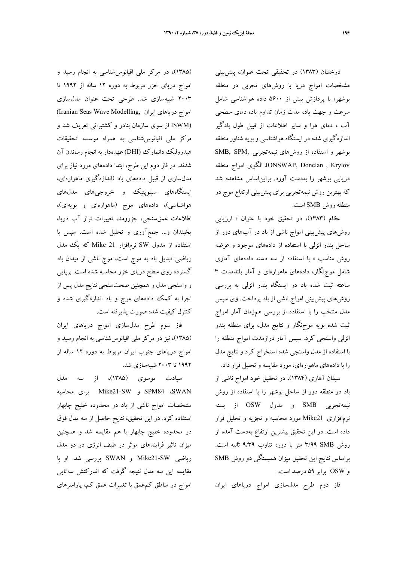درخشان (1383) در تحقيقي تحت عنوان، پيشبيني مشخصات امواج دريا با روشهاي تجربي در منطقه بوشهر» با پردازش بيش از 5600 داده هواشناسي شامل سرعت و جهت باد، مدت زمان تداوم باد، دماي سطحي آب ، دماي هوا و ساير اطلاعات از قبيل طول بادگير اندازهگيري شده در ايستگاه هواشناسي و بويه شناور منطقه بوشهر و استفاده از روشهاى نيمهتجربي ,SMB, SPM Krylov , Donelan ,JONSWAP الگوي امواج منطقه دريايي بوشهر را بهدست آورد. برايناساس مشاهده شد كه بهترين روش نيمهتجربي براي پيشبيني ارتفاع موج در منطقه روش SMB است.

عظام (1383)، در تحقيق خود با عنوان « ارزيابي روشهاي پيشبيني امواج ناشي از باد در آبهاي دور از ساحل بندر انزلي با استفاده از دادههاي موجود و عرضه روش مناسب » با استفاده از سه دسته دادههاي آماري شامل موجنگار، دادههاي ماهوارهاي و آمار بلندمدت 3 ساعته ثبت شده باد در ايستگاه بندر انزلي به بررسي روشهاي پيشبيني امواج ناشي از باد پرداخت. وي سپس مدل منتخب را با استفاده از بررسي همزمان آمار امواج ثبت شده بويه موجنگار و نتايج مدل، براي منطقه بندر انزلي واسنجي كرد. سپس آمار درازمدت امواج منطقه را با استفاده از مدل واسنجي شده استخراج كرد و نتايج مدل را با دادههاي ماهوارهاي، مورد مقايسه و تحليل قرار داد.

سيفان آهاري (1384)، در تحقيق خود امواج ناشي از باد در منطقه دور از ساحل بوشهر را با استفاده از روش نيمهتجربي SMB و مدول OSW از بسته نرمافزاري 21Mike مورد محاسبه و تجزيه و تحليل قرار داده است. در اين تحقيق بيشترين ارتفاع بهدست آمده از روش SMB 3/99 متر با دوره تناوب 9/39 ثانيه است. براساس نتايج اين تحقيق ميزان همبستگي دو روش SMB و OSW برابر 59 درصد است.

فاز دوم طرح مدلسازي امواج درياهاي ايران

(1385)، در مركز ملي اقيانوسشناسي به انجام رسيد و امواج درياي خزر مربوط به دوره 12 ساله از 1992 تا 2003 شبيهسازي شد. طرحي تحت عنوان مدلسازي (Iranian Seas Wave Modelling, ايران درياهاي امواج (ISWM از سوي سازمان بنادر و كشتيراني تعريف شد و مركز ملي اقيانوسشناسي به همراه موسسه تحقيقات هیدرولیک دانمارک (DHI) عهدهدار به انجام رساندن آن شدند. در فاز دوم اين طرح، ابتدا دادههاي مورد نياز براي مدلسازي از قبيل دادههاي باد (اندازهگيري ماهوارهاي، ايستگاههاي سينوپتيك و خروجيهاي مدلهاي هواشناسي)، دادههاي موج (ماهوارهاي و بويهاي)، اطلاعات عمقسنجي، جزرومد، تغييرات تراز آب دريا، يخبندان و... جمعآوري و تحليل شده است. سپس با استفاده از مدول SW نرمافزار 21 Mike كه يك مدل رياضي تبديل باد به موج است، موج ناشي از ميدان باد گسترده روي سطح درياي خزر محاسبه شده است. برپايي و واسنجي مدل و همچنين صحتسنجي نتايج مدل پس از اجرا به كمك دادههاي موج و باد اندازهگيري شده و كنترل كيفيت شده صورت پذيرفته است.

فاز سوم طرح مدلسازي امواج درياهاي ايران (1385)، نيز در مركز ملي اقيانوسشناسي به انجام رسيد و امواج درياهاي جنوب ايران مربوط به دوره 12 ساله از 1992 تا 2003 شبيهسازي شد.

سيادت موسوي (1385)، از سه مدل محاسبه براي Mike21-SW و SPM84 ،SWAN مشخصات امواج ناشي از باد در محدوده خليج چابهار استفاده كرد. در اين تحقيق، نتايج حاصل از سه مدل فوق در محدوده خليج چابهار با هم مقايسه شد و همچنين ميزان تاثير فرايندهاي موثر در طيف انرژي در دو مدل رياضي SW21-Mike و SWAN بررسي شد. او با مقايسه اين سه مدل نتيجه گرفت كه اندركنش سهتايي امواج در مناطق كمعمق با تغييرات عمق كم، پارامترهاي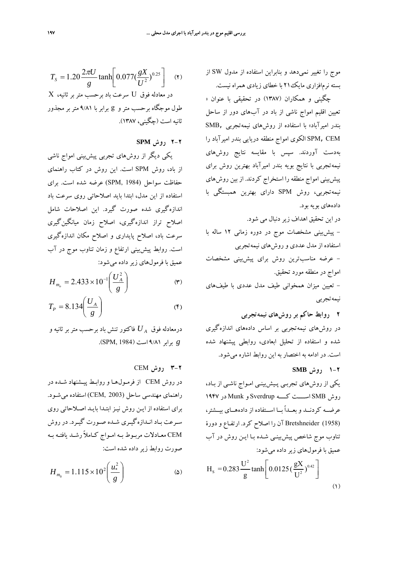موج را تغيير نميدهد و بنابراين استفاده از مدول SW از بسته نرمافزاري مايك21 با خطاي زيادي همراه نيست.

چگيني و همكاران (1387) در تحقيقي با عنوان « تعيين اقليم امواج ناشي از باد در آبهاي دور از ساحل بندر اميرآباد» با استفاده از روشهاي نيمهتجربي ,SMB CEM ,SPM الكوي امواج منطقه دريايي بندر اميرآباد را بهدست آوردند. سپس با مقايسه نتايج روشهاي نيمهتجربي با نتايج بويه بندر اميرآباد بهترين روش براي پيشبيني امواج منطقه را استخراج كردند. از بين روشهاي نيمهتجربي، روش SPM داراي بهترين همبستگي با دادههاي بويه بود.

در اين تحقيق اهداف زير دنبال مي شود.

- پيشبيني مشخصات موج در دوره زماني 12 ساله با استفاده از مدل عددي و روشهاي نيمهتجربي

- عرضه مناسبترين روش براي پيشبيني مشخصات امواج در منطقه مورد تحقيق.

- تعيين ميزان همخواني طيف مدل عددي با طيفهاي نيمهتجربي

### **2 روابط حاكم بر روشهاي نيمهتجربي**

در روشهاي نيمهتجربي بر اساس دادههاي اندازهگيري شده و استفاده از تحليل ابعادي، روابطي پيشنهاد شده است. در ادامه به اختصار به اين روابط اشاره ميشود.

#### **1-2 روش SMB**

يكي از روشهاي تجربـي پـيش بينـي امـواج ناشـي از بـاد، روش SMB اســــت كــــه Sverdrup و Munk در 1947 عرضــه كردنــد و بعــداً بــا اســتفاده از دادههــاي بيــشتر، (1958) Bretshneider آن را اصلاح كرد. ارتفـاع و دورة تناوب موج شاخص پيشبينـي شـده بـا ايـن روش در آب عميق با فرمولهاي زير داده ميشود: 2

$$
H_s = 0.283 \frac{U^2}{g} \tanh \left[ 0.0125 \left( \frac{gX}{U^2} \right)^{0.42} \right]
$$
 (1)

$$
T_{S} = 1.20 \frac{2\pi U}{g} \tanh\left[ 0.077(\frac{gX}{U^{2}})^{0.25} \right] \quad (7)
$$
  
X در معادله فوق لا سرعت باد برحسب متر بر ثانیه،  
طول موجود برحسب متر و 2 برابر با ۹/۸۸ متر بر مجدور  
ثانیه است (چگینی، ۱۳۸۷).

**2-2 روش SPM**

يكي ديگر از روشهاي تجربي پيشبيني امواج ناشي از باد، روش SPM است. اين روش در كتاب راهنماي حفاظت سواحل (1984 ,SPM (عرضه شده است. براي استفاده از اين مدل، ابتدا بايد اصلاحاتي روي سرعت باد اندازهگيري شده صورت گيرد. اين اصلاحات شامل اصلاح تراز اندازهگيري، اصلاح زمان ميانگينگيري سرعت باد، اصلاح پايداري و اصلاح مكان اندازهگيري است. روابط پيشبيني ارتفاع و زمان تناوب موج در آب عميق با فرمولهاي زير داده ميشود:

$$
H_{m_o} = 2.433 \times 10^{-1} \left(\frac{U_A^2}{g}\right) \tag{7}
$$

$$
T_P = 8.134 \left(\frac{U_A}{g}\right) \tag{5}
$$

فاكتور تنش باد برحسب متربرثانيه و *<sup>A</sup> U* درمعادله فوق *g* برابر ۹/۸۱ است (1984 ,SPM).

**3-2 روش** CEM در روش CEM از فرمـولهـا و روابـط پيـشنهاد شـده در راهنماي مهندسي ساحل (2003 ,CEM (استفاده ميشـود. براي استفاده از ايـن روش نيـز ابتـدا بايـد اصـلاحاتي روي سـرعت بـاد انـدازهگيـري شـده صـورت گيـرد. در روش CEM معـادلات مربـوط بـه امـواج كـاملاً رشـد يافتـه بـه صورت روابط زير داده شده است:

$$
H_{m_0} = 1.115 \times 10^2 \left(\frac{u_*^2}{g}\right) \tag{2}
$$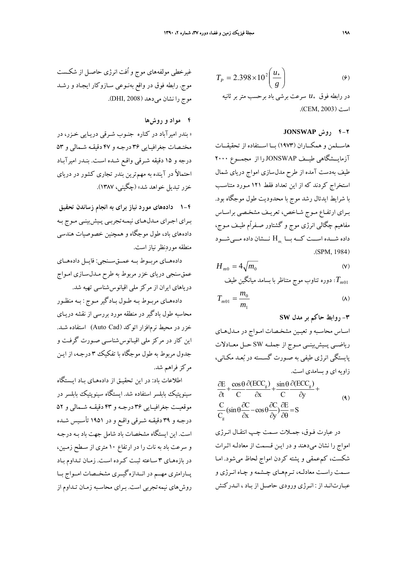$$
T_{P} = 2.398 \times 10^{2} \left(\frac{u_{*}}{g}\right)
$$
 (9)  
در رابطه فوق  $u_{*}$  سرعت برشی باد برحسب متر بر ثانیه

است (2003 ,CEM(.

### **4-2 روش JONSWAP**

هاســلمن و همكــاران (1973) بــا اســتفاده از تحقيقــات آزمايــشگاهي طيــف JONSWAP را از مجمــوع 2000 طيف بهدست آمده از طرح مدلسازي امواج درياي شمال استخراج كردند كه از اين تعداد فقط 121 مـورد متناسـب با شرايط ايدئال رشد موج با محدوديت طول موجگاه بود . بـراي ارتفـاع مـوج شـاخص، تعريـف مشخـصي براسـاس مفاهيم چگالي انرژي موج و گشتاور صـفراُم طيـف مـوج ، داده شـــده اســـت كـــه بـــا  $\rm{H}_{m}$  نـــشان داده مـــىشـــود .(SPM, 1984)

$$
H_{m0} = 4\sqrt{m_0}
$$
 (v)  
1.2.2 eec ہ تناوب موج متناظر با بسامد میانگین طیف

$$
T_{m01} = \frac{m_0}{m_1} \tag{A}
$$

**-3 روابط حاكم بر مدل SW** 

اسـاس محاسـبه و تعيـين مشخـصات امـواج در مـدلهـاي رياضــي پــيشبينــي مــوج از جملــه SW حــل معــادلات پايستگي انرژي طيفي به صـورت گسـسته در بعـد مكـاني، زاويه اي و بسامدي است.

$$
\frac{\partial E}{\partial t} + \frac{\cos \theta}{C} \frac{\partial (ECC_{g})}{\partial x} + \frac{\sin \theta}{C} \frac{\partial (ECC_{g})}{\partial y} + \frac{\sum_{c_{g}}^{\infty} (\sin \theta \frac{\partial C}{\partial x} - \cos \theta \frac{\partial C}{\partial y}) \frac{\partial E}{\partial \theta}}{=\mathcal{S}}
$$
\n(4)

در عبارت فـوق، جمـلات سـمت چـپ انتقـال انـرژي امواج را نشان ميدهند و در ايـن قـسمت از معادلـه اثـرات شكست، كمعمقي و پشته كردن امواج لحاظ مي شود. امـا سـمت راسـت معادلـه، تـرمهـاي چـشمه و چـاه انـرژي و عبـارتانـد از : انـرژي ورودي حاصـل از بـاد ، انـدركنش

غيرخطي مولفههاي موج و اُفت انرژي حاصـل از شكـست موج. رابطه فوق در واقع بهنـوعي سـازوكار ايجـاد و رشـد موج را نشان مي دهد (DHI, 2008).

## **4 مواد و روشها**

« بندر اميرآباد در كناره جنـوب شـرقي دريـايي خـز ر، در مختـصات جغرافيـايي 36 درجـه و 47 دقيقـه شـمالي و 53 درجه و 15 دقيقه شـرقي واقـع شـده اسـت . بنـدر اميرآبـاد احتمالاً در آينده به مهم ترين بندر تجاري كشور در درياي خزر تبديل خواهد شد» (چگيني، 1387).

**1-4 دادههاي مورد نياز براي به انجام زساندن تحقيق**  بـراي اجـراي مـدلهـاي نيمـهتجربـي پـيشبينـي مـوج بـه دادههاي باد، طول موجگاه و همچنين خصوصيات هندسي منطقه موردنظرنياز است.

دادههــاي مربــوط بــه عمــقســنجي: فايــل دادههــاي عمقسنجي درياي خزر مربوط به طرح مـدلسـازي امـواج درياهاي ايران از مركز ملي اقيانوسشناسي تهيه شد.

دادههـاي مربـوط بـه طـول بـادگير مـوج : بـه منظـور محاسبه طول بادگير در منطقه مورد بررسي از نقشه دريـاي خزر در محیط نرمافزار اتوکد (Auto Cad) استفاده شـد. اين كار در مركز ملي اقيـانوسشناسـي صـورت گرفـت و جدول مربوط به طول موجگاه با تفكيك 3 درجـه، از ايـن مركز فراهم شد.

اطلاعات باد: در اين تحقيـق از داده هـاي بـاد ايـستگاه سينوپتيك بابلسر استفاده شد. ايستگاه سينوپتيك بابلسر در موقعيــت جغرافيــايي 36 درجــه و 43 دقيقــه شــمالي و 52 درجـه و 39 دقيقـه شـرقي واقـع و در 1951 تأسـيس شـده است. اين ايستگاه مشخصات باد شامل جهت باد بـه درجـه و سرعت باد به نات را در ارتفاع 10 متري از سـطح زمـين، در بازههـاي 3 سـاعته ثبـت كـرده اسـت . زمـان تـداوم بـاد پــارامتري مهــم در انــدازهگيــري مشخــصات امــواج بــا روشهاي نيمهتجربي است. بـراي محاسـبه زمـان تـداوم از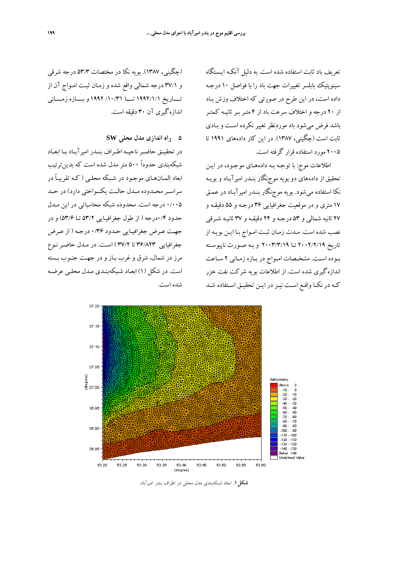تعريف باد ثابت استفاده شده است . به دليل آنكـه ايـستگاه سينوپتيك بابلسر تغييرات جهت باد را با فواصل 10 درجـه داده است، در اين طرح در صورتي كه اختلاف وزش بـاد از 20 درجه و اختلاف سرعت باد از 4 متـر بـر ثانيـه كمتـر باشد فرض مي شود باد موردنظرتغيير نكرده اسـت و بـادي ثابت است (چگيني، 1387). در اين كار دادههاي 1991 تا 2005 مورد استفاده قرار گرفته است.

اطلاعات موج: با توجـه بـه داده هـاي موجـود، در ايـن تحقيق از دادههاي دو بويه موجنگار بنـدر اميرآبـاد و بويـه نكا استفاده ميشود. بويه موجنگار بنـدر اميرآبـاد در عمـق 17 متري و در موقعيت جغرافيايي 36 درجـه و 55 دقيقـه و 27 ثانيه شمالي و 53 درجـه و 24 دقيقـه و 37 ثانيـه شـرقي نصب شده است. مـدت زمـان ثبـت امـواج بـا ايـن بويـه از تاريخ 2002/2/19 تـا 2003/3/19 و بـه صـورت ناپيوسـته بـوده اسـت. مشخـصات امـواج در بـازه زمـاني 2 سـاعت اندازهگيري شده است. از اطلاعات بويه شركت نفت خزر كـه در نكـا واقـع اسـت نيـزدر ايـن تحقيـق اسـتفاده شـد

(چگيني، 1387). بويه نكا در مختصات 53/3 درجه شرقي و 37/1 درجه شمالي واقع شده و زمـان ثبـت امـواج آن از تــــاريخ 1992/1/1 تــــا /10/31 1992 و بــــازه زمــــاني اندازهگيري آن 30 دقيقه است.

**5 راه اندازي مدل محلي SW** 

در تحقيــق حاضــر ناحيــه اطــراف بنــدر اميرآبــاد بــا ابعــاد شبكهبندي حدوداً 500 متر مدل شده است كه بدين ترتيب ابعاد المـانهـاي موجـود در شـبكه محلـي ( كـه تقريبـاً در سراســر محــدوده مــدل حالــت يكنــواختي دارد) در حــد 0/005 درجه است. محدوده شبكه محاسباتي در اين مـدل حدود 0/4درجه ( از طول جغرافيـايي 53/2 تـا 53/6) و در جهـت عـرض جغرافيـايي حـدود 0/36 درجـه ( از عـرض جغرافيايي 36/823 تا 37/2 ) اسـت. در مـدل حاضـر نـوع مرز در شمال، شرق و غرب بـاز و در جهـت جنـوب بـسته است. در شكل (1) ابعـاد شـبكهبنـدي مـدل محلـي عرضـه شده است.



**شكل.1** ابعاد شبكهبندي مدل محلي در اطراف بندر اميرآباد.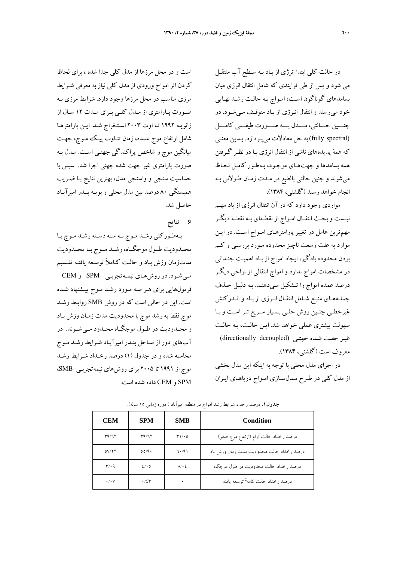در حالت كلي ابتدا انرژي از بـاد بـه سـطح آب منتقـل مي شود و پس از طي فرايندي كه شامل انتقال انرژي ميان بسامدهاي گوناگون اسـت، امـواج بـه حالـت رشـد نهـايي خود ميرسند و انتقال انـرژي از بـاد متوقـف مـي شـود. در چنـــين حـــالتي، مـــدل بـــه صـــورت طيفـــي كامـــل (fully spectral) به حل معادلات ميپردازد. بـدين معنـي كه همة پديدههاي ناشي از انتقال انرژي بـا در نظـر گـرفتن همه بسامدها و جهتهـاي موجـود، بـهطـور كامـل لحـاظ ميشوند و چنين حالتي بالطبع در مـدت زمـان طـولاني بـه انجام خواهد رسيد (گلشني، 1384).

مواردي وجود دارد كه در آن انتقال انرژي از باد مهـم نيـست و بحـث انتقـال امـواج از نقطـهاي بـه نقطـه ديگـر مهمترين عامل در تغيير پارامترهـاي امـواج اسـت . در ايـن موارد به علت وسعت ناچيز محدوده مـورد بررسـي و كـم بودن محدوده بادگير، ايجاد امواج از بـاد اهميـت چنـداني در مشخصات امواج ندارد و امواج انتقالي از نواحي ديگـر درصد عمده امواج را تـشكيل مـي دهنـد. بـه دليـل حـذف جملـههـاي منبـع شـامل انتقـال انـرژي از بـاد و انـدركنش غيرخطـي چنـين روش حلـي بـسيار سـريع تـراسـت و بـا سهولت بيشتري عملي خواهد شد. ايـن حالـت، بـه حالـت غيـر جفـت شـده جهتـي (directionally decoupled) معروف است (گلشني، 1384).

در اجراي مدل محلي با توجه به اينكه اين مدل بخشي از مدل كلي در طـرح مـدلسـازي امـواج درياهـاي ايـران

است و در محل مرزها از مدل كلي جدا شده ، براي لحاظ كردن اثر امواج ورودي از مدل كلي نياز به معرفي شـرايط مرزي مناسب در محل مرزها وجود دارد . شرايط مرزي بـه صـورت پـارامتري از مـدل كلـي بـراي مـدت 12 سـال از ژانويـه 1992 تـا اوت 2003 اسـتخراج شـد. ايـن پارامترهـا شامل ارتفاع موج عمده، زمان تنـاوب پيـك مـوج، جهـت ميانگين موج و شاخص پراكندگي جهتـي اسـت . مـدل بـه صورت پارامتري غير جهت شده جهتي اجرا شد. سپس با حساسيت سنجي و واسنجي مدل، بهترين نتايج بـا ضـريب همبستگي 80 درصد بين مدل محلي و بويـه بنـدر اميرآبـاد حاصل شد.

**6 نتايج** 

بـهطـوركلي رشـد مـوج بـه سـه دسـته رشـد مـوج بـا محــدوديت طــول موجگــاه، رشــد مــوج بــا محــدوديت مدتزمان وزش بـاد و حالـت كـاملاً توسـعه يافتـه تقـسيم مـيشـود. در روشهـاي نيمـهتجربـي SPM و CEM فرمولهايي براي هـر سـه مـورد رشـد مـوج پيـشنهاد شـده است. اين در حالي است كه در روش SMB روابـط رشـد موج فقط به رشد موج با محدوديت مدت زمـان وزش بـاد و محــدوديت در طــول موجگــاه محــدود مــيشــوند. در آبهاي دور از سـاحل بنـدر اميرآبـاد شـرايط رشـد مـوج محاسبه شده و در ج دول (1) درصد رخـداد شـرايط رشـد موج از 1991 تا 2005 براي روشهاي نيمهتجربـي SMB، SPM و CEM داده شده است.

| <b>CEM</b>                    | <b>SPM</b>              | <b>SMB</b>                             | Condition                                |
|-------------------------------|-------------------------|----------------------------------------|------------------------------------------|
| $\Gamma$ 9/7 $\gamma$         | T9/T                    | $\mathsf{r}\mathsf{1}/\cdot\mathsf{o}$ | درصد رخداد حالت أرام (ارتفاع موج صفر)    |
| 0V/YY                         | 00/9                    | 7.791                                  | درصد رخداد حالت محدودیت مدت زمان وزش باد |
| $\mathbf{r}/\cdot \mathbf{q}$ | 2/0                     | $\Lambda/\cdot\,$                      | درصد رخداد حالت محدودیت در طول موجگاه    |
| $\cdot/\cdot$ $\vee$          | $\cdot$ /2 $\mathsf{r}$ |                                        | درصد رخداد حالت كاملاً توسعه يافته       |

**جدول.1** درصد رخداد شرايط رشد امواج در منطقه اميرآباد ( دوره زماني 15 ساله).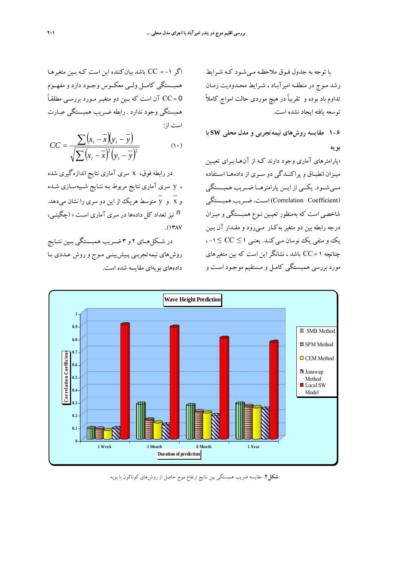اگر CC = -۱ باشد بيانكننده اين است كـه بـين متغيرهـا همبــستگي كامــل ولــي معكــوس وجــود دارد و مفهــوم 0 =CC آن است كه بـين دو متغيـر مـورد بررسـي مطلقـاً همبستگي وجود ندارد . رابطه ضـريب همبـستگي عبـارت است از:

$$
CC = \frac{\sum (x_i - \overline{x})(y_i - \overline{y})}{\sqrt{\sum (x_i - \overline{x})^2 (y_i - \overline{y})^2}}
$$
(1)

در رابطه فوق، x سري آماري نتايج اندازه گيري شده ، y سري آماري نتايج مربوط بـه نتـايج شـبيهسـازي شـده و x و y متوسط هريك از اين دو سري را نشان ميدهد. نيز تعداد كل دادهها در سري آماري اسـت » (چگينـي، *<sup>n</sup>*  $.$ (1٣٨٧)

در شــكلهــاي 2 و 3 ضــريب همبــستگي بــين نتــايج روشهاي نيمهتجربـي پـيشبينـي مـوج و روش عـددي بـا دادههاي بويهاي مقايسه شده است.

با توجه به جدول فـوق ملاحظـه مـي شـود كـه شـرايط رشد مـوج در منطقـه اميرآبـاد ، شـرايط محـدوديت زمـان تداوم باد بوده و تقريباً در هيچ موردي حالت امواج كاملاً توسعه يافته ايجاد نشده است.

## **1-6 مقايسه روشهاي نيمهتجربي و مدل محلي SW با بويه**

«پارامترهاي آماري وجود دارند كـه از آن هـا بـراي تعيـين ميــزان انطبــاق و پراكنــدگي دو ســري از دادههــا اســتفاده مــيشــود. يكــي از ايــن پارامترهــا ضــريب همبــستگي (Correlation Coefficient) اسـت. ضـريب همبــستگي شاخصي است كه بهمنظور تعيـين نـوع همبـستگي و ميـزان درجه رابطه بين دو متغير به كـار ًمـي(ود و مقـدار آن بـين يك و منفي يك نوسان مـي كنـد. يعنـي 1 ≥ CC ≤ -1 ، چنانچه 1 =CC باشد ، نشانگر اين است كه بين متغيرهاي مورد بررسي همبـستگي كامـل و مـستقيم موجـود اسـت و



**شكل.2** مقايسه ضريب همبستگي بين نتايج ارتفاع موج حاصل از روشهاي گوناگون با بويه.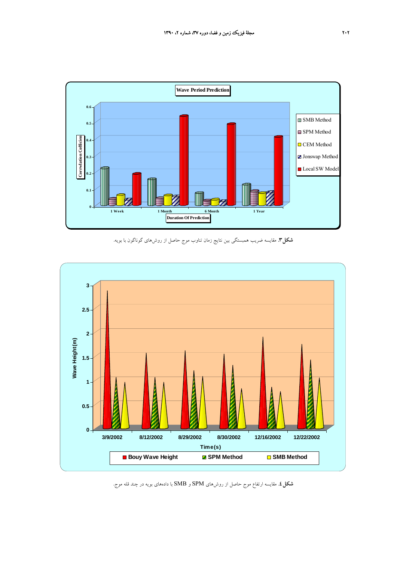

**شكل.3** مقايسه ضريب همبستگي بين نتايج زمان تناوب موج حاصل از روشهاي گوناگون با بويه.



**شكل.4** مقايسه ارتفاع موج حاصل از روشهاي SPM و SMB با دادههاي بويه در چند قله موج.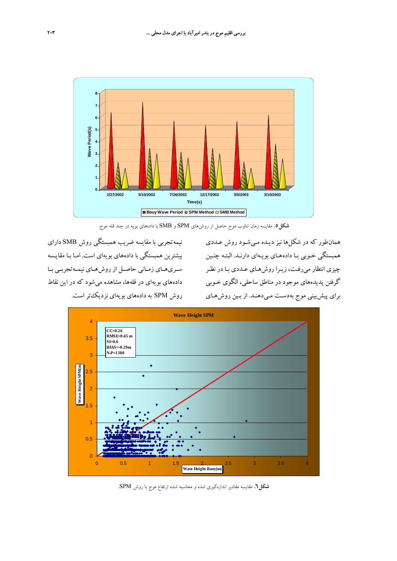

**شكل.5** مقايسه زمان تناوب موج حاصل از روشهاي SPM و SMB با دادههاي بويه در چند قله موج.

نيمهتجربي با مقايسه ضريب همبستگي روش SMB داراي بيشترين همبستگي با دادههاي بويهاي است. امـا بـا مقايـسه ســريهــاي زمــاني حاصــل از روشهــاي نيمــهتجربــي بــا دادههاي بويهاي در قلهها، مشاهده ميشود كه در اين نقاط

همانطور كه در شكلها نيز ديـده مـي شـود روش عـددي همبستگي خـوبي بـا داده هـاي بويـهاي دارنـد. البتـه چنـين چيزي انتظار ميرفـت، زيـرا روشهـاي عـددي بـا در نظـر گرفتن پديدههاي موجود در مناطق ساحلي ، الگوي خـوبي براي پيشبيني موج بهدسـت مـيدهنـد. از بـين روشهـاي روش SPM به دادههاي بويهاي نزديكتراست.



**شكل.6** مقايسه مقادير اندازهگيري شده و محاسبه شده ارتفاع موج با روش SPM.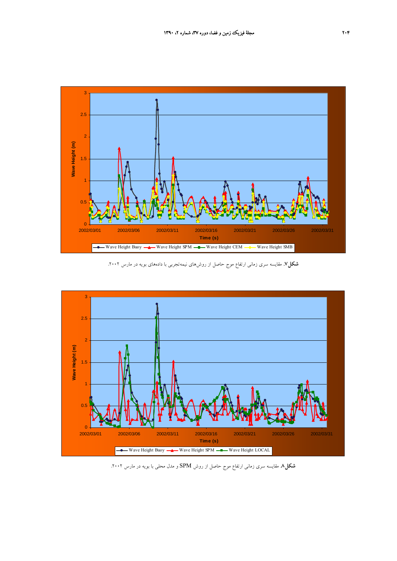

**شكل.7** مقايسه سري زماني ارتفاع موج حاصل از روشهاي نيمهتجربي با دادههاي بويه در مارس .2002



**شكل.8** مقايسه سري زماني ارتفاع موج حاصل از روش SPM و مدل محلي با بويه در مارس .2002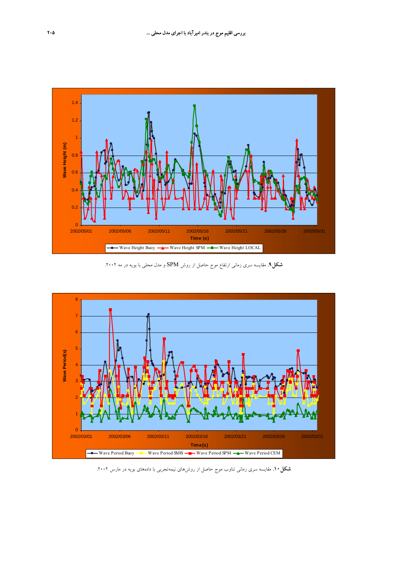

**شكل.9** مقايسه سري زماني ارتفاع موج حاصل از روش SPM و مدل محلي با بويه در مه .2002



**شكل.10** مقايسه سري زماني تناوب موج حاصل از روشهاي نيمهتجربي با دادههاي بويه در مارس .2002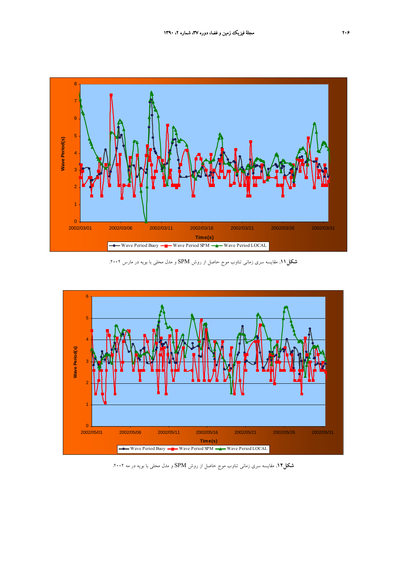

**شكل.11** مقايسه سري زماني تناوب موج حاصل از روش SPM و مدل محلي با بويه در مارس .2002



**شكل.12** مقايسه سري زماني تناوب موج حاصل از روش SPM و مدل محلي با بويه در مه .2002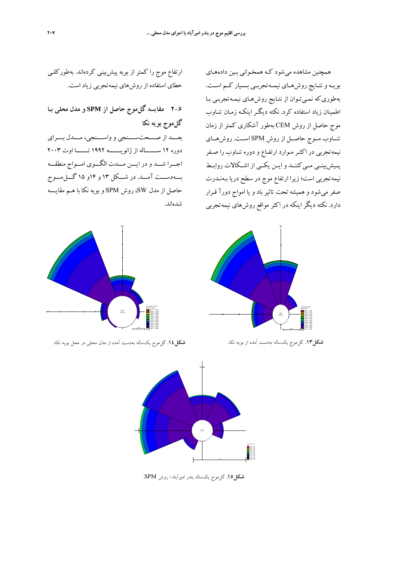همچنين مشاهده ميشود كـه همخـواني بـين دادههـاي بويــه و نتــايج روشهــاي نيمــهتجربــي بــسيار كــم اســت. بهطوريكه نمـيتـوان از نتـايج روش هـاي نيمـهتجربـي بـا اطمينان زياد استفاده كرد. نكته ديگـر اينكـه زمـان تنـاوب موج حاصل از روش CEM بهطور آشكاري كمتر از زمان تنــاوب مــوج حاصــل از روش SPM اســت. روشهــاي نيمهتجربي در اكثـر مـوارد ارتفـاع و دوره تنـاوب را صـفر پــيشبينــي مــيكننــد و ايــن يكــي از اشــكالات روابــط نيمهتجربي است؛ زيرا ارتفاع موج در سطح دريا بـه نـدرت صفر ميشود و هميشه تحت تاثير باد و يا امواج دورآ قـرار دارد. نكته ديگر اينكه در اكثر مواقع روش هاي نيمهتجربي

Above 2.750 2.2500 - 2.5000 2.0000 - 2.2500 1.5000 - 1.7500 1.2500 - 1.5000 0.7500 - 1.0000 0.5000 - 0.7500 0.2500 - 0.5000 Below 0.2500 N 18.33 % 10 %

ارتفاع موج را كمتر از بويه پيشبيني كردهاند. بهطوركلـي خطاي استفاده از روشهاي نيمهتجربي زياد است.

**2-6 مقايسه گلموج حاصل از SPM و مدل محلي بـا گلموج بويه نكا** بعــــد از صــــحتســــنجي و واســــنجي، مــــدل بــــراي دوره 12 ســـــــاله از ژانويـــــــه 1992 تـــــــا اوت 2003 اجـــرا شـــد و در ايـــن مـــدت الگـــوي امـــواج منطقـــه بـــهدســـت آمـــد. در شـــكل 13 و 14و 15 گـــلمـــوج حاصل از مدل SW، روش SPM و بويه نكا با هـم مقايـسه شدهاند.

Rose Wave LOCAL MODEL (meter) **Above 2.7500** 2.5000 - 2.7500 2.2500 - 2.5000 2.0000 - 2.2500 1.7500 - 2.0000 1.5000 - 1.7500 1.2500 - 1.5000 1.0000 - 1.2500 0.7500 - 1.0000 0.5000 - 0.7500 0.2500 - 0.5000 Below 0.2500 N Calm 12.31 %

**شكل.13** گلموج يكساله بهدست آمده از بويه نكا**. شكل.14** گلموج يكساله بهدست آمده از مدل محلي در محل بويه نكا.



N

**شكل.15** گلموج يكساله بندر اميرآباد- روش SPM.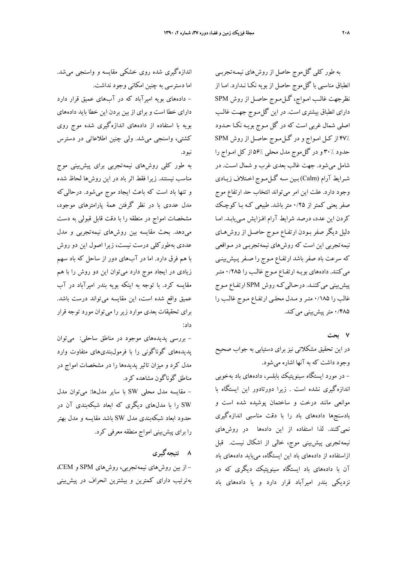به طور كلي گلموج حاصل از روشهاي نيمـهتجربـي انطباق مناسبي با گلموج حاصل از بويه نكـا نـدارد . امـا از نظرجهت غالـب امـواج، گـلمـوج حاصـل از روش SPM داراي انطباق بيشتري است. در اين گلمـوج جهـت غالـب اصلي شمال غربي است كه در گل مـوج بويـه نكـا حـدود 47% از كـل امـواج و در گـلمـوج حاصـل از روش SPM حدود 30% و در گلموج مدل محلي 56% از كل امـواج را شامل ميشود. جهت غالب بعدي غرب و شمال اسـت. در شـرايط آرام (Calm (بـين سـه گـلمـوج اخـتلاف زيـادي وجود دارد. علت اين امر ميتواند انتخاب حد ارتفاع موج صفر يعني كمتر از 0/25 متر باشد. طبيعي كـه بـا كوچـك كردن اين عدد، درصد شرايط آرام افـزايش مـي يابـد. امـا دليل ديگر صفر بـودن ارتفـاع مـوج حاصـل از روش هـاي نيمهتجربي اين است كه روش هاي نيمهتجربـي در مـواقعي كه سرعت باد صفر باشد ارتفـاع مـوج را صـفر پـيشبينـي ميكنند. دادههاي بويـه ارتفـاع مـوج غالـب را 0/285 متـر پيشبيني ميكننـد. درحـاليكـه روش SPM ارتفـاع مـوج غالب را 0/185 متـر و مـدل محلـي ارتفـاع مـوج غالـب را 0/485 مترپيشبيني ميكند.

**7 بحث** 

در اين تحقيق مشكلاتي نيز براي دستيابي به جواب صحيح وجود داشت كه به آنها اشاره ميشود.

- در مورد ايستگاه سينوپتيك بابلسر، دادههاي باد بهخوبي اندازهگيري نشده است . زيرا دورتادور اين ايستگاه با موانعي مانند درخت و ساختمان پوشيده شده است و بادسنجها دادههاي باد را با دقت مناسبي اندازهگيري نميكنند. لذا استفاده از اين دادهها در روشهاي نيمهتجربي پيشبيني موج، خالي از اشكال نيست. قبل ازاستفاده از دادههاي باد اين ايستگاه، ميبايد دادههاي باد آن با دادههاي باد ايستگاه سينوپتيك ديگري كه در نزديكي بندر اميرآباد قرار دارد و يا دادههاي باد

اندازهگيري شده روي خشكي مقايسه و واسنجي ميشد. اما دسترسي به چنين امكاني وجود نداشت. - دادههاي بويه اميرآباد كه در آبهاي عميق قرار دارد داراي خطا است و براي از بين بردن اين خطا بايد دادههاي

بويه با استفاده از دادههاي اندازهگيري شده موج روي كشتي، واسنجي ميشد. ولي چنين اطلاعاتي در دسترس نبود.

به طور كلي روشهاي نيمهتجربي براي پيشبيني موج مناسب نيستند. زيرا فقط اثر باد در اين روشها لحاظ شده و تنها باد است كه باعث ايجاد موج ميشود. درحاليكه مدل عددي با در نظر گرفتن همة پارامترهاي موجود، مشخصات امواج در منطقه را با دقت قابل قبولي به دست ميدهد. بحث مقايسه بين روشهاي نيمهتجربي و مدل عددي بهطوركلي درست نيست، زيرا اصول اين دو روش با هم فرق دارد. اما در آبهاي دور از ساحل كه باد سهم زيادي در ايجاد موج دارد ميتوان اين دو روش را با هم مقايسه كرد. با توجه به اينكه بويه بندر اميرآباد در آب عميق واقع شده است، اين مقايسه ميتواند درست باشد. براي تحقيقات بعدي موارد زير را ميتوان مورد توجه قرار داد:

- بررسي پديدههاي موجود در مناطق ساحلي: ميتوان پديدههاي گوناگوني را با فرمولبنديهاي متفاوت وارد مدل كرد و ميزان تاثير پديدهها را در مشخصات امواج در مناطق گوناگون مشاهده كرد.

- مقايسه مدل محلي SW با ساير مدلها: ميتوان مدل SW را با مدلهاي ديگري كه ابعاد شبكهبندي آن در حدود ابعاد شبكهبندي مدل SW باشد مقايسه و مدل بهتر را براي پيشبيني امواج منطقه معرفي كرد.

**8 نتيجهگيري**  - از بين روشهاي نيمهتجربي، روشهاي SPM و CEM، بهترتيب داراي كمترين و بيشترين انحراف در پيشبيني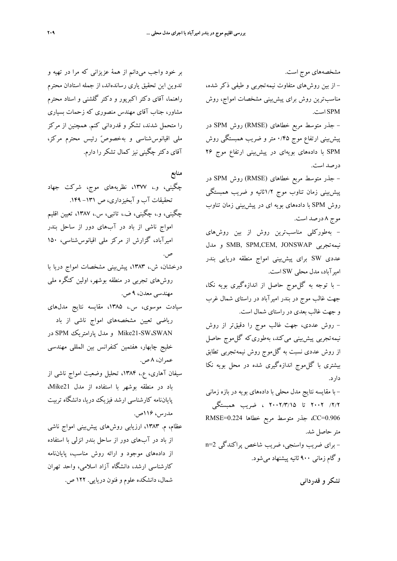بر خود واجب ميدانم از همة عزيزاني كه مرا در تهيه و تدوين اين تحقيق ياري رسانده اند، از جمله استادان محترم راهنما، آقاي دكتر اكبرپور و دكتر گلشني و استاد محترم مشاور، جناب آقاي مهندس منصوري كه زحمات بسياري را متحمل شدند، تشكر و قدرداني كنم. همچنين از مركز ملي اقيانوسشناسي و بهخصوص رئيس محترم مركز، آقاي دكتر چگيني نيز كمال تشكررا دارم.

**منابع**  چگيني، و،. ،1377 نظريههاي موج، شركت جهاد تحقيقات آب و آبخيزداري، ص -131 .149 چگيني، و،. چگيني، ف،. تائبي، س،. ،1387 تعيين اقليم امواج ناشي از باد در آبهاي دور از ساحل بندر اميرآباد، گزارش از مركز ملي اقيانوسشناسي، 150 ص. درخشان، ش،. ،1383 پيشبيني مشخصات امواج دريا با روشهاي تجربي در منطقه بوشهر، اولين كنگره ملي مهندسي معدن، 9 ص. سيادت موسوي، س،. ،1385 مقايسه نتايج مدلهاي رياضي تعيين مشخصههاي امواج ناشي از باد SWAN،SW21-Mike و مدل پارامتريك SPM در خليج چابهار، هفتمين كنفرانس بين المللي مهندسي عمران، 8 ص. سيفان آهاري، ع،. ،1384 تحليل وضعيت امواج ناشي از باد در منطقه بوشهر با استفاده از مدل 21Mike، پاياننامه كارشناسي ارشد فيزيك دريا، دانشگاه تربيت مدرس، 116ص. عظام، م. ١٣٨٣، ارزيابي روشهاي پيشبيني امواج ناشي از باد در آبهاي دور از ساحل بندر انزلي با استفاده از دادههاي موجود و ارائه روش مناسب، پاياننامه كارشناسي ارشد، دانشگاه آزاد اسلامي، واحد تهران

شمال، دانشكده علوم و فنون دريايي. 122 ص.

مشخصههاي موج است. - از بين روشهاي متفاوت نيمهتجربي و طيفي ذكر شده، مناسبترين روش براي پيشبيني مشخصات امواج، روش SPM است.

- جذر متوسط مربع خطاهاي (RMSE (روش SPM در پيشبيني ارتفاع موج 0/45 متر و ضريب همبستگي روش SPM با دادههاي بويهاي در پيشبيني ارتفاع موج 26 درصد است.

- جذر متوسط مربع خطاهاي (RMSE (روش SPM در پيشبيني زمان تناوب موج 1/2ثانيه و ضريب همبستگي روش SPM با دادههاي بويه اي در پيشبيني زمان تناوب موج 8 درصد است.

- بهطوركلي مناسبترين روش از بين روشهاي مدل و SMB, SPM,CEM, JONSWAP نيمهتجربي عددي SW براي پيشبيني امواج منطقه دريايي بندر اميرآباد، مدل محلي SW است.

- با توجه به گلموج حاصل از اندازهگيري بويه نكا، جهت غالب موج در بندر اميرآباد در راستاي شمال غرب و جهت غالب بعدي در راستاي شمال است.

- روش عددي، جهت غالب موج را دقيقتر از روش نيمه تجربي پيش بيني مي كند، بهطوري كه گل موج حاصل از روش عددي نسبت به گلموج روش نيمهتجربي تطابق بيشتري با گلموج اندازهگيري شده در محل بويه نكا دارد.

- با مقايسه نتايج مدل محلي با دادههاي بويه در بازه زماني /2/2 2002 تا 2002/3/15 ، ضريب همبستگي 0.906=CC، جذر متوسط مربع خطاها 0.224=RMSE متر حاصل شد.

- براي ضريب واسنجي، ضريب شاخص پراكندگي 2=n و گام زماني 900 ثانيه پيشنهاد ميشود.

**تشكر و قدرداني**